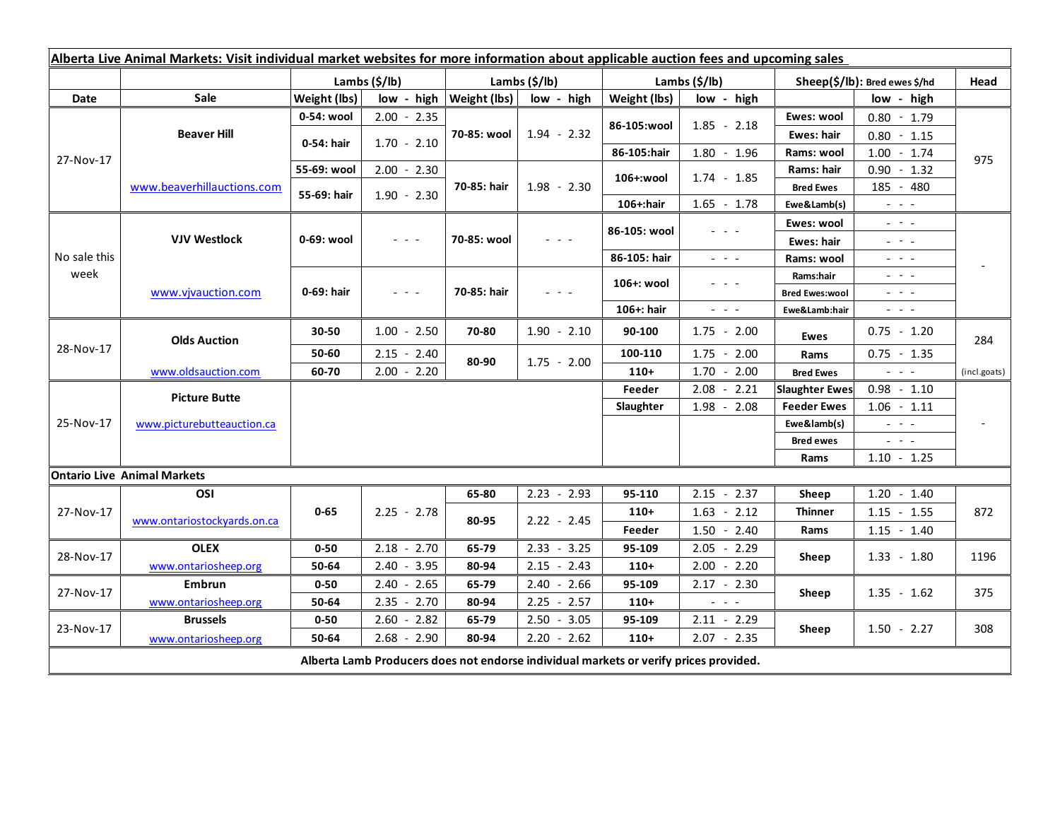| Alberta Live Animal Markets: Visit individual market websites for more information about applicable auction fees and upcoming sales |                                    |                           |                                                                                                                           |                              |               |                           |                                                                                                 |                                     |                                                                                                                           |                          |
|-------------------------------------------------------------------------------------------------------------------------------------|------------------------------------|---------------------------|---------------------------------------------------------------------------------------------------------------------------|------------------------------|---------------|---------------------------|-------------------------------------------------------------------------------------------------|-------------------------------------|---------------------------------------------------------------------------------------------------------------------------|--------------------------|
|                                                                                                                                     |                                    | Lambs $(\frac{2}{3})$ lb) |                                                                                                                           | Lambs (\$/lb)                |               | Lambs $(\frac{2}{3})$ lb) |                                                                                                 | Sheep(\$/lb): Bred ewes \$/hd       |                                                                                                                           | Head                     |
| Date                                                                                                                                | <b>Sale</b>                        | Weight (lbs)              |                                                                                                                           | $low - high   Weight (lbs) $ | low - high    | Weight (lbs)              | low - high                                                                                      | low - high                          |                                                                                                                           |                          |
| 27-Nov-17                                                                                                                           | <b>Beaver Hill</b>                 | 0-54: wool                | $2.00 - 2.35$                                                                                                             | 70-85: wool                  | $1.94 - 2.32$ | 86-105:wool               | $1.85 - 2.18$                                                                                   | Ewes: wool                          | $0.80 - 1.79$                                                                                                             | 975                      |
|                                                                                                                                     |                                    | 0-54: hair                | $1.70 - 2.10$                                                                                                             |                              |               |                           |                                                                                                 | <b>Ewes: hair</b>                   | $0.80 - 1.15$                                                                                                             |                          |
|                                                                                                                                     |                                    |                           |                                                                                                                           |                              |               | 86-105:hair               | $1.80 - 1.96$                                                                                   | Rams: wool                          | $1.00 - 1.74$                                                                                                             |                          |
|                                                                                                                                     | www.beaverhillauctions.com         | 55-69: wool               | $2.00 - 2.30$                                                                                                             | 70-85: hair                  | $1.98 - 2.30$ | 106+:wool                 | $1.74 - 1.85$                                                                                   | Rams: hair                          | $0.90 - 1.32$                                                                                                             |                          |
|                                                                                                                                     |                                    | 55-69: hair               | $1.90 - 2.30$                                                                                                             |                              |               |                           |                                                                                                 | <b>Bred Ewes</b>                    | 185 - 480                                                                                                                 |                          |
|                                                                                                                                     |                                    |                           |                                                                                                                           |                              |               | 106+:hair                 | $1.65 - 1.78$                                                                                   | Ewe&Lamb(s)                         | $\omega_{\rm{max}}$                                                                                                       |                          |
| No sale this<br>week                                                                                                                | <b>VJV Westlock</b>                | 0-69: wool                | $\frac{1}{2} \left( \frac{1}{2} \right) \left( \frac{1}{2} \right) \left( \frac{1}{2} \right) \left( \frac{1}{2} \right)$ | 70-85: wool                  |               | 86-105: wool              |                                                                                                 | Ewes: wool                          | $\frac{1}{2}$ , $\frac{1}{2}$ , $\frac{1}{2}$                                                                             |                          |
|                                                                                                                                     |                                    |                           |                                                                                                                           |                              |               |                           |                                                                                                 | Ewes: hair                          | $\frac{1}{2} \left( \frac{1}{2} \right) = \frac{1}{2} \left( \frac{1}{2} \right)$                                         |                          |
|                                                                                                                                     |                                    |                           |                                                                                                                           |                              |               | 86-105: hair              | $\frac{1}{2} \left( \frac{1}{2} \right) = \frac{1}{2} \left( \frac{1}{2} \right) = \frac{1}{2}$ | Rams: wool                          | $- - -$                                                                                                                   |                          |
|                                                                                                                                     | www.vivauction.com                 | 0-69: hair                | $\omega_{\rm{eff}}$ and $\omega_{\rm{eff}}$                                                                               | 70-85: hair                  | $  -$         | 106+: wool                | - - -                                                                                           | Rams:hair                           | $  -$                                                                                                                     |                          |
|                                                                                                                                     |                                    |                           |                                                                                                                           |                              |               |                           |                                                                                                 | <b>Bred Ewes:wool</b>               | $  -$                                                                                                                     |                          |
|                                                                                                                                     |                                    |                           |                                                                                                                           |                              |               | 106+: hair                | $\omega_{\rm{eff}}$ and $\omega_{\rm{eff}}$                                                     | Ewe&Lamb:hair                       | $\frac{1}{2} \left( \frac{1}{2} \right) \left( \frac{1}{2} \right) \left( \frac{1}{2} \right) \left( \frac{1}{2} \right)$ |                          |
| 28-Nov-17                                                                                                                           | <b>Olds Auction</b>                | $30 - 50$                 | $1.00 - 2.50$                                                                                                             | 70-80                        | $1.90 - 2.10$ | 90-100                    | $1.75 - 2.00$                                                                                   | Ewes                                | $0.75 - 1.20$                                                                                                             | 284                      |
|                                                                                                                                     |                                    | 50-60                     | $2.15 - 2.40$                                                                                                             | 80-90                        | $1.75 - 2.00$ | 100-110                   | $1.75 - 2.00$                                                                                   | Rams                                | $0.75 - 1.35$                                                                                                             |                          |
|                                                                                                                                     | www.oldsauction.com                | 60-70                     | $2.00 - 2.20$                                                                                                             |                              |               | $110+$                    | $1.70 - 2.00$                                                                                   | <b>Bred Ewes</b>                    | $\omega_{\rm{c}}$ , $\omega_{\rm{c}}$ , $\omega_{\rm{c}}$                                                                 | (incl.goats)             |
| 25-Nov-17                                                                                                                           | <b>Picture Butte</b>               |                           |                                                                                                                           |                              |               | Feeder                    | $2.08 - 2.21$                                                                                   | <b>Slaughter Ewes</b>               | $0.98 - 1.10$                                                                                                             |                          |
|                                                                                                                                     | www.picturebutteauction.ca         |                           |                                                                                                                           |                              |               | Slaughter                 | $1.98 - 2.08$                                                                                   | $1.06 - 1.11$<br><b>Feeder Ewes</b> |                                                                                                                           | $\overline{\phantom{a}}$ |
|                                                                                                                                     |                                    |                           |                                                                                                                           |                              |               |                           |                                                                                                 | Ewe&lamb(s)                         | $\omega_{\rm{eff}}$ and $\omega_{\rm{eff}}$                                                                               |                          |
|                                                                                                                                     |                                    |                           |                                                                                                                           |                              |               |                           |                                                                                                 | <b>Bred ewes</b>                    | $\omega_{\rm{eff}}$ and $\omega_{\rm{eff}}$                                                                               |                          |
|                                                                                                                                     |                                    |                           |                                                                                                                           |                              |               |                           |                                                                                                 | Rams                                | $1.10 - 1.25$                                                                                                             |                          |
|                                                                                                                                     | <b>Ontario Live Animal Markets</b> |                           |                                                                                                                           |                              |               |                           |                                                                                                 |                                     |                                                                                                                           |                          |
| 27-Nov-17                                                                                                                           | OSI                                | $0 - 65$                  | $2.25 - 2.78$                                                                                                             | 65-80                        | $2.23 - 2.93$ | 95-110                    | $2.15 - 2.37$                                                                                   | Sheep                               | $1.20 - 1.40$                                                                                                             | 872                      |
|                                                                                                                                     | www.ontariostockyards.on.ca        |                           |                                                                                                                           | 80-95                        | $2.22 - 2.45$ | $110+$                    | $1.63 - 2.12$                                                                                   | <b>Thinner</b><br>Rams              | $1.15 - 1.55$                                                                                                             |                          |
|                                                                                                                                     |                                    |                           |                                                                                                                           |                              |               | Feeder                    | $1.50 - 2.40$                                                                                   |                                     | $1.15 - 1.40$                                                                                                             |                          |
| 28-Nov-17                                                                                                                           | <b>OLEX</b>                        | $0 - 50$                  | $2.18 - 2.70$                                                                                                             | 65-79                        | $2.33 - 3.25$ | 95-109                    | $2.05 - 2.29$                                                                                   | Sheep                               | $1.33 - 1.80$                                                                                                             | 1196                     |
|                                                                                                                                     | www.ontariosheep.org               | 50-64                     | $2.40 - 3.95$                                                                                                             | 80-94                        | $2.15 - 2.43$ | $110+$                    | $2.00 - 2.20$                                                                                   |                                     |                                                                                                                           |                          |
| 27-Nov-17                                                                                                                           | Embrun                             | $0 - 50$                  | $2.40 - 2.65$                                                                                                             | 65-79                        | $2.40 - 2.66$ | 95-109                    | $2.17 - 2.30$                                                                                   | Sheep                               | $1.35 - 1.62$                                                                                                             | 375                      |
|                                                                                                                                     | www.ontariosheep.org               | 50-64                     | $2.35 - 2.70$                                                                                                             | 80-94                        | $2.25 - 2.57$ | $110+$                    | $\frac{1}{2} \left( \frac{1}{2} \right) = \frac{1}{2} \left( \frac{1}{2} \right)$               |                                     |                                                                                                                           |                          |
| 23-Nov-17                                                                                                                           | <b>Brussels</b>                    | $0 - 50$                  | $2.60 - 2.82$                                                                                                             | 65-79                        | $2.50 - 3.05$ | 95-109                    | $2.11 - 2.29$                                                                                   | Sheep                               | $1.50 - 2.27$                                                                                                             | 308                      |
|                                                                                                                                     | www.ontariosheep.org               | 50-64                     | $2.68 - 2.90$                                                                                                             | 80-94                        | $2.20 - 2.62$ | $110+$                    | $2.07 - 2.35$                                                                                   |                                     |                                                                                                                           |                          |
| Alberta Lamb Producers does not endorse individual markets or verify prices provided.                                               |                                    |                           |                                                                                                                           |                              |               |                           |                                                                                                 |                                     |                                                                                                                           |                          |